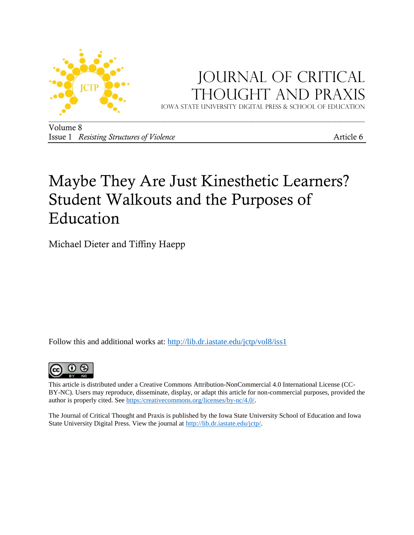

## JOURNAL OF CRITICAL Thought and Praxis

Iowa state university digital press & School of education

Volume 8 Issue 1 *Resisting Structures of Violence* **Article 6** 

# Maybe They Are Just Kinesthetic Learners? Student Walkouts and the Purposes of Education

Michael Dieter and Tiffiny Haepp

Follow this and additional works at: http://lib.dr.iastate.edu/jctp/vol8/iss1



This article is distributed under a Creative Commons Attribution-NonCommercial 4.0 International License (CC-BY-NC). Users may reproduce, disseminate, display, or adapt this article for non-commercial purposes, provided the author is properly cited. See [https:/creativecommons.org/licenses/by-nc/4.0/.](https://creativecommons.org/licenses/by-nc/4.0/)

The Journal of Critical Thought and Praxis is published by the Iowa State University School of Education and Iowa State University Digital Press. View the journal at [http://lib.dr.iastate.edu/jctp/.](http://lib.dr.iastate.edu/jctp/)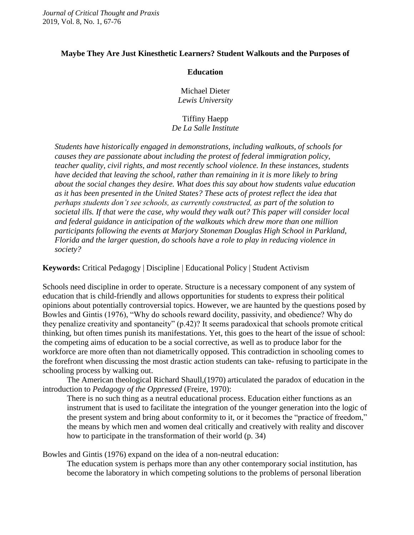#### **Maybe They Are Just Kinesthetic Learners? Student Walkouts and the Purposes of**

#### **Education**

Michael Dieter *Lewis University*

#### Tiffiny Haepp *De La Salle Institute*

*Students have historically engaged in demonstrations, including walkouts, of schools for causes they are passionate about including the protest of federal immigration policy, teacher quality, civil rights, and most recently school violence. In these instances, students have decided that leaving the school, rather than remaining in it is more likely to bring about the social changes they desire. What does this say about how students value education as it has been presented in the United States? These acts of protest reflect the idea that perhaps students don't see schools, as currently constructed, as part of the solution to societal ills. If that were the case, why would they walk out? This paper will consider local and federal guidance in anticipation of the walkouts which drew more than one million participants following the events at Marjory Stoneman Douglas High School in Parkland, Florida and the larger question, do schools have a role to play in reducing violence in society?*

**Keywords:** Critical Pedagogy | Discipline | Educational Policy | Student Activism

Schools need discipline in order to operate. Structure is a necessary component of any system of education that is child-friendly and allows opportunities for students to express their political opinions about potentially controversial topics. However, we are haunted by the questions posed by Bowles and Gintis (1976), "Why do schools reward docility, passivity, and obedience? Why do they penalize creativity and spontaneity" (p.42)? It seems paradoxical that schools promote critical thinking, but often times punish its manifestations. Yet, this goes to the heart of the issue of school: the competing aims of education to be a social corrective, as well as to produce labor for the workforce are more often than not diametrically opposed. This contradiction in schooling comes to the forefront when discussing the most drastic action students can take- refusing to participate in the schooling process by walking out.

The American theological Richard Shaull,(1970) articulated the paradox of education in the introduction to *Pedagogy of the Oppressed* (Freire, 1970):

There is no such thing as a neutral educational process. Education either functions as an instrument that is used to facilitate the integration of the younger generation into the logic of the present system and bring about conformity to it, or it becomes the "practice of freedom," the means by which men and women deal critically and creatively with reality and discover how to participate in the transformation of their world (p. 34)

Bowles and Gintis (1976) expand on the idea of a non-neutral education:

The education system is perhaps more than any other contemporary social institution, has become the laboratory in which competing solutions to the problems of personal liberation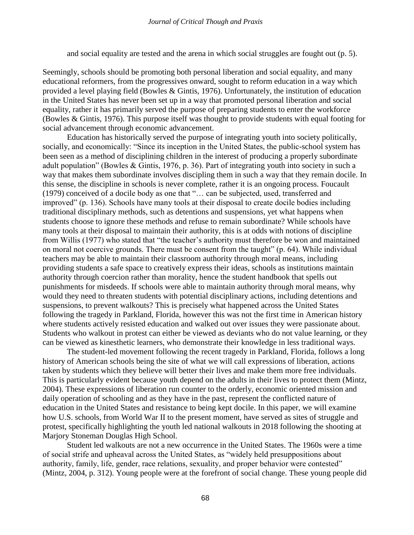and social equality are tested and the arena in which social struggles are fought out (p. 5).

Seemingly, schools should be promoting both personal liberation and social equality, and many educational reformers, from the progressives onward, sought to reform education in a way which provided a level playing field (Bowles & Gintis, 1976). Unfortunately, the institution of education in the United States has never been set up in a way that promoted personal liberation and social equality, rather it has primarily served the purpose of preparing students to enter the workforce (Bowles & Gintis, 1976). This purpose itself was thought to provide students with equal footing for social advancement through economic advancement.

Education has historically served the purpose of integrating youth into society politically, socially, and economically: "Since its inception in the United States, the public-school system has been seen as a method of disciplining children in the interest of producing a properly subordinate adult population" (Bowles & Gintis, 1976, p. 36). Part of integrating youth into society in such a way that makes them subordinate involves discipling them in such a way that they remain docile. In this sense, the discipline in schools is never complete, rather it is an ongoing process. Foucault (1979) conceived of a docile body as one that "… can be subjected, used, transferred and improved" (p. 136). Schools have many tools at their disposal to create docile bodies including traditional disciplinary methods, such as detentions and suspensions, yet what happens when students choose to ignore these methods and refuse to remain subordinate? While schools have many tools at their disposal to maintain their authority, this is at odds with notions of discipline from Willis (1977) who stated that "the teacher's authority must therefore be won and maintained on moral not coercive grounds. There must be consent from the taught" (p. 64). While individual teachers may be able to maintain their classroom authority through moral means, including providing students a safe space to creatively express their ideas, schools as institutions maintain authority through coercion rather than morality, hence the student handbook that spells out punishments for misdeeds. If schools were able to maintain authority through moral means, why would they need to threaten students with potential disciplinary actions, including detentions and suspensions, to prevent walkouts? This is precisely what happened across the United States following the tragedy in Parkland, Florida, however this was not the first time in American history where students actively resisted education and walked out over issues they were passionate about. Students who walkout in protest can either be viewed as deviants who do not value learning, or they can be viewed as kinesthetic learners, who demonstrate their knowledge in less traditional ways.

The student-led movement following the recent tragedy in Parkland, Florida, follows a long history of American schools being the site of what we will call expressions of liberation, actions taken by students which they believe will better their lives and make them more free individuals. This is particularly evident because youth depend on the adults in their lives to protect them (Mintz, 2004). These expressions of liberation run counter to the orderly, economic oriented mission and daily operation of schooling and as they have in the past, represent the conflicted nature of education in the United States and resistance to being kept docile. In this paper, we will examine how U.S. schools, from World War II to the present moment, have served as sites of struggle and protest, specifically highlighting the youth led national walkouts in 2018 following the shooting at Marjory Stoneman Douglas High School.

Student led walkouts are not a new occurrence in the United States. The 1960s were a time of social strife and upheaval across the United States, as "widely held presuppositions about authority, family, life, gender, race relations, sexuality, and proper behavior were contested" (Mintz, 2004, p. 312). Young people were at the forefront of social change. These young people did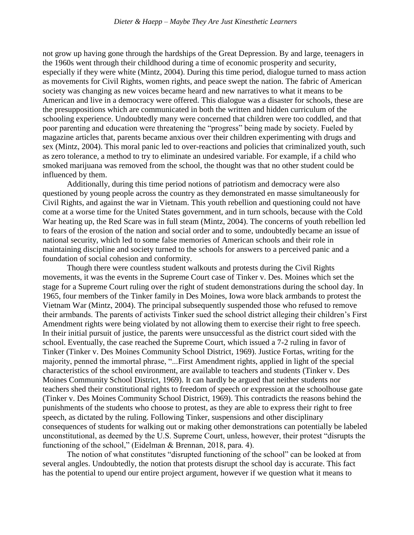not grow up having gone through the hardships of the Great Depression. By and large, teenagers in the 1960s went through their childhood during a time of economic prosperity and security, especially if they were white (Mintz, 2004). During this time period, dialogue turned to mass action as movements for Civil Rights, women rights, and peace swept the nation. The fabric of American society was changing as new voices became heard and new narratives to what it means to be American and live in a democracy were offered. This dialogue was a disaster for schools, these are the presuppositions which are communicated in both the written and hidden curriculum of the schooling experience. Undoubtedly many were concerned that children were too coddled, and that poor parenting and education were threatening the "progress" being made by society. Fueled by magazine articles that, parents became anxious over their children experimenting with drugs and sex (Mintz, 2004). This moral panic led to over-reactions and policies that criminalized youth, such as zero tolerance, a method to try to eliminate an undesired variable. For example, if a child who smoked marijuana was removed from the school, the thought was that no other student could be influenced by them.

Additionally, during this time period notions of patriotism and democracy were also questioned by young people across the country as they demonstrated en masse simultaneously for Civil Rights, and against the war in Vietnam. This youth rebellion and questioning could not have come at a worse time for the United States government, and in turn schools, because with the Cold War heating up, the Red Scare was in full steam (Mintz, 2004). The concerns of youth rebellion led to fears of the erosion of the nation and social order and to some, undoubtedly became an issue of national security, which led to some false memories of American schools and their role in maintaining discipline and society turned to the schools for answers to a perceived panic and a foundation of social cohesion and conformity.

Though there were countless student walkouts and protests during the Civil Rights movements, it was the events in the Supreme Court case of Tinker v. Des. Moines which set the stage for a Supreme Court ruling over the right of student demonstrations during the school day. In 1965, four members of the Tinker family in Des Moines, Iowa wore black armbands to protest the Vietnam War (Mintz, 2004). The principal subsequently suspended those who refused to remove their armbands. The parents of activists Tinker sued the school district alleging their children's First Amendment rights were being violated by not allowing them to exercise their right to free speech. In their initial pursuit of justice, the parents were unsuccessful as the district court sided with the school. Eventually, the case reached the Supreme Court, which issued a 7-2 ruling in favor of Tinker (Tinker v. Des Moines Community School District, 1969). Justice Fortas, writing for the majority, penned the immortal phrase, "...First Amendment rights, applied in light of the special characteristics of the school environment, are available to teachers and students (Tinker v. Des Moines Community School District, 1969). It can hardly be argued that neither students nor teachers shed their constitutional rights to freedom of speech or expression at the schoolhouse gate (Tinker v. Des Moines Community School District, 1969). This contradicts the reasons behind the punishments of the students who choose to protest, as they are able to express their right to free speech, as dictated by the ruling. Following Tinker, suspensions and other disciplinary consequences of students for walking out or making other demonstrations can potentially be labeled unconstitutional, as deemed by the U.S. Supreme Court, unless, however, their protest "disrupts the functioning of the school," (Eidelman & Brennan, 2018, para. 4).

The notion of what constitutes "disrupted functioning of the school" can be looked at from several angles. Undoubtedly, the notion that protests disrupt the school day is accurate. This fact has the potential to upend our entire project argument, however if we question what it means to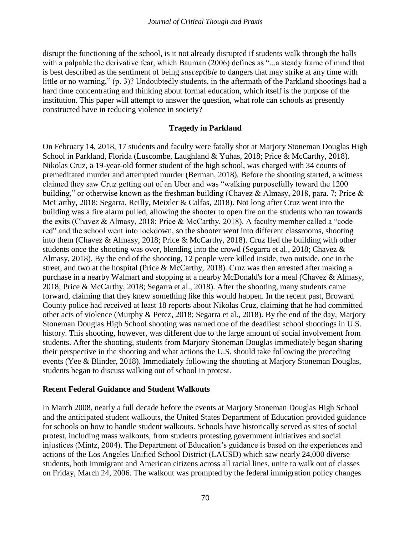disrupt the functioning of the school, is it not already disrupted if students walk through the halls with a palpable the derivative fear, which Bauman (2006) defines as "...a steady frame of mind that is best described as the sentiment of being *susceptible* to dangers that may strike at any time with little or no warning," (p. 3)? Undoubtedly students, in the aftermath of the Parkland shootings had a hard time concentrating and thinking about formal education, which itself is the purpose of the institution. This paper will attempt to answer the question, what role can schools as presently constructed have in reducing violence in society?

## **Tragedy in Parkland**

On February 14, 2018, 17 students and faculty were fatally shot at Marjory Stoneman Douglas High School in Parkland, Florida (Luscombe, Laughland & Yuhas, 2018; Price & McCarthy, 2018). Nikolas Cruz, a 19-year-old former student of the high school, was charged with 34 counts of premeditated murder and attempted murder (Berman, 2018). Before the shooting started, a witness claimed they saw Cruz getting out of an Uber and was "walking purposefully toward the 1200 building," or otherwise known as the freshman building (Chavez & Almasy, 2018, para. 7; Price & McCarthy, 2018; Segarra, Reilly, Meixler & Calfas, 2018). Not long after Cruz went into the building was a fire alarm pulled, allowing the shooter to open fire on the students who ran towards the exits (Chavez & Almasy, 2018; Price & McCarthy, 2018). A faculty member called a "code red" and the school went into lockdown, so the shooter went into different classrooms, shooting into them (Chavez & Almasy, 2018; Price & McCarthy, 2018). Cruz fled the building with other students once the shooting was over, blending into the crowd (Segarra et al., 2018; Chavez & Almasy, 2018). By the end of the shooting, 12 people were killed inside, two outside, one in the street, and two at the hospital (Price & McCarthy, 2018). Cruz was then arrested after making a purchase in a nearby Walmart and stopping at a nearby McDonald's for a meal (Chavez & Almasy, 2018; Price & McCarthy, 2018; Segarra et al., 2018). After the shooting, many students came forward, claiming that they knew something like this would happen. In the recent past, Broward County police had received at least 18 reports about Nikolas Cruz, claiming that he had committed other acts of violence (Murphy & Perez, 2018; Segarra et al., 2018). By the end of the day, Marjory Stoneman Douglas High School shooting was named one of the deadliest school shootings in U.S. history. This shooting, however, was different due to the large amount of social involvement from students. After the shooting, students from Marjory Stoneman Douglas immediately began sharing their perspective in the shooting and what actions the U.S. should take following the preceding events (Yee & Blinder, 2018). Immediately following the shooting at Marjory Stoneman Douglas, students began to discuss walking out of school in protest.

## **Recent Federal Guidance and Student Walkouts**

In March 2008, nearly a full decade before the events at Marjory Stoneman Douglas High School and the anticipated student walkouts, the United States Department of Education provided guidance for schools on how to handle student walkouts. Schools have historically served as sites of social protest, including mass walkouts, from students protesting government initiatives and social injustices (Mintz, 2004). The Department of Education's guidance is based on the experiences and actions of the Los Angeles Unified School District (LAUSD) which saw nearly 24,000 diverse students, both immigrant and American citizens across all racial lines, unite to walk out of classes on Friday, March 24, 2006. The walkout was prompted by the federal immigration policy changes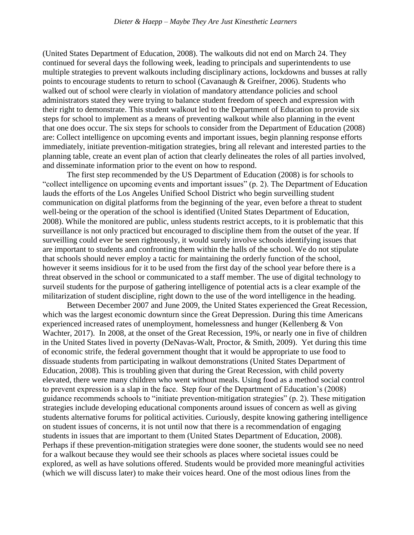(United States Department of Education, 2008). The walkouts did not end on March 24. They continued for several days the following week, leading to principals and superintendents to use multiple strategies to prevent walkouts including disciplinary actions, lockdowns and busses at rally points to encourage students to return to school (Cavanaugh & Greifner, 2006). Students who walked out of school were clearly in violation of mandatory attendance policies and school administrators stated they were trying to balance student freedom of speech and expression with their right to demonstrate. This student walkout led to the Department of Education to provide six steps for school to implement as a means of preventing walkout while also planning in the event that one does occur. The six steps for schools to consider from the Department of Education (2008) are: Collect intelligence on upcoming events and important issues, begin planning response efforts immediately, initiate prevention-mitigation strategies, bring all relevant and interested parties to the planning table, create an event plan of action that clearly delineates the roles of all parties involved, and disseminate information prior to the event on how to respond.

The first step recommended by the US Department of Education (2008) is for schools to "collect intelligence on upcoming events and important issues" (p. 2). The Department of Education lauds the efforts of the Los Angeles Unified School District who begin surveilling student communication on digital platforms from the beginning of the year, even before a threat to student well-being or the operation of the school is identified (United States Department of Education, 2008). While the monitored are public, unless students restrict accepts, to it is problematic that this surveillance is not only practiced but encouraged to discipline them from the outset of the year. If surveilling could ever be seen righteously, it would surely involve schools identifying issues that are important to students and confronting them within the halls of the school. We do not stipulate that schools should never employ a tactic for maintaining the orderly function of the school, however it seems insidious for it to be used from the first day of the school year before there is a threat observed in the school or communicated to a staff member. The use of digital technology to surveil students for the purpose of gathering intelligence of potential acts is a clear example of the militarization of student discipline, right down to the use of the word intelligence in the heading.

Between December 2007 and June 2009, the United States experienced the Great Recession, which was the largest economic downturn since the Great Depression. During this time Americans experienced increased rates of unemployment, homelessness and hunger (Kellenberg & Von Wachter, 2017). In 2008, at the onset of the Great Recession, 19%, or nearly one in five of children in the United States lived in poverty (DeNavas-Walt, Proctor, & Smith, 2009). Yet during this time of economic strife, the federal government thought that it would be appropriate to use food to dissuade students from participating in walkout demonstrations (United States Department of Education, 2008). This is troubling given that during the Great Recession, with child poverty elevated, there were many children who went without meals. Using food as a method social control to prevent expression is a slap in the face. Step four of the Department of Education's (2008) guidance recommends schools to "initiate prevention-mitigation strategies" (p. 2). These mitigation strategies include developing educational components around issues of concern as well as giving students alternative forums for political activities. Curiously, despite knowing gathering intelligence on student issues of concerns, it is not until now that there is a recommendation of engaging students in issues that are important to them (United States Department of Education, 2008). Perhaps if these prevention-mitigation strategies were done sooner, the students would see no need for a walkout because they would see their schools as places where societal issues could be explored, as well as have solutions offered. Students would be provided more meaningful activities (which we will discuss later) to make their voices heard. One of the most odious lines from the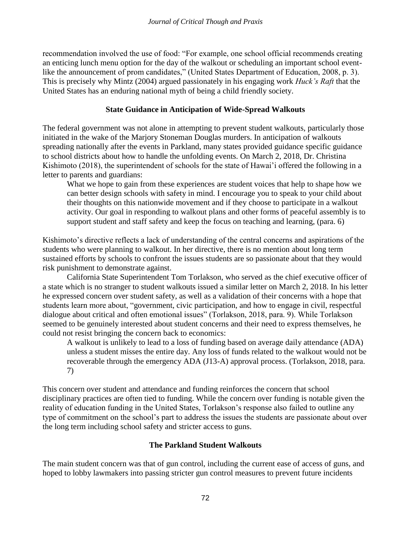recommendation involved the use of food: "For example, one school official recommends creating an enticing lunch menu option for the day of the walkout or scheduling an important school eventlike the announcement of prom candidates," (United States Department of Education, 2008, p. 3). This is precisely why Mintz (2004) argued passionately in his engaging work *Huck's Raft* that the United States has an enduring national myth of being a child friendly society.

### **State Guidance in Anticipation of Wide-Spread Walkouts**

The federal government was not alone in attempting to prevent student walkouts, particularly those initiated in the wake of the Marjory Stoneman Douglas murders. In anticipation of walkouts spreading nationally after the events in Parkland, many states provided guidance specific guidance to school districts about how to handle the unfolding events. On March 2, 2018, Dr. Christina Kishimoto (2018), the superintendent of schools for the state of Hawai'i offered the following in a letter to parents and guardians:

What we hope to gain from these experiences are student voices that help to shape how we can better design schools with safety in mind. I encourage you to speak to your child about their thoughts on this nationwide movement and if they choose to participate in a walkout activity. Our goal in responding to walkout plans and other forms of peaceful assembly is to support student and staff safety and keep the focus on teaching and learning, (para. 6)

Kishimoto's directive reflects a lack of understanding of the central concerns and aspirations of the students who were planning to walkout. In her directive, there is no mention about long term sustained efforts by schools to confront the issues students are so passionate about that they would risk punishment to demonstrate against.

California State Superintendent Tom Torlakson, who served as the chief executive officer of a state which is no stranger to student walkouts issued a similar letter on March 2, 2018. In his letter he expressed concern over student safety, as well as a validation of their concerns with a hope that students learn more about, "government, civic participation, and how to engage in civil, respectful dialogue about critical and often emotional issues" (Torlakson, 2018, para. 9). While Torlakson seemed to be genuinely interested about student concerns and their need to express themselves, he could not resist bringing the concern back to economics:

A walkout is unlikely to lead to a loss of funding based on average daily attendance (ADA) unless a student misses the entire day. Any loss of funds related to the walkout would not be recoverable through the emergency ADA (J13-A) approval process. (Torlakson, 2018, para. 7)

This concern over student and attendance and funding reinforces the concern that school disciplinary practices are often tied to funding. While the concern over funding is notable given the reality of education funding in the United States, Torlakson's response also failed to outline any type of commitment on the school's part to address the issues the students are passionate about over the long term including school safety and stricter access to guns.

## **The Parkland Student Walkouts**

The main student concern was that of gun control, including the current ease of access of guns, and hoped to lobby lawmakers into passing stricter gun control measures to prevent future incidents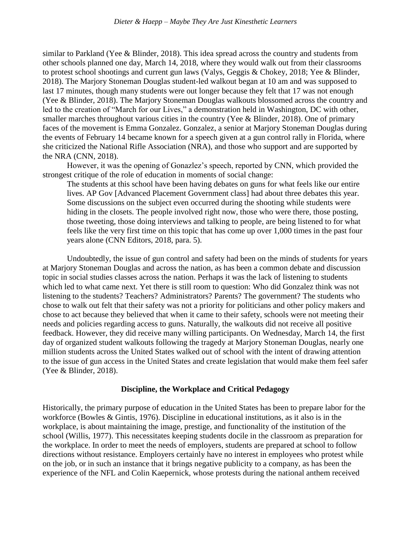similar to Parkland (Yee & Blinder, 2018). This idea spread across the country and students from other schools planned one day, March 14, 2018, where they would walk out from their classrooms to protest school shootings and current gun laws (Valys, Geggis & Chokey, 2018; Yee & Blinder, 2018). The Marjory Stoneman Douglas student-led walkout began at 10 am and was supposed to last 17 minutes, though many students were out longer because they felt that 17 was not enough (Yee & Blinder, 2018). The Marjory Stoneman Douglas walkouts blossomed across the country and led to the creation of "March for our Lives," a demonstration held in Washington, DC with other, smaller marches throughout various cities in the country (Yee & Blinder, 2018). One of primary faces of the movement is Emma Gonzalez. Gonzalez, a senior at Marjory Stoneman Douglas during the events of February 14 became known for a speech given at a gun control rally in Florida, where she criticized the National Rifle Association (NRA), and those who support and are supported by the NRA (CNN, 2018).

However, it was the opening of Gonazlez's speech, reported by CNN, which provided the strongest critique of the role of education in moments of social change:

The students at this school have been having debates on guns for what feels like our entire lives. AP Gov [Advanced Placement Government class] had about three debates this year. Some discussions on the subject even occurred during the shooting while students were hiding in the closets. The people involved right now, those who were there, those posting, those tweeting, those doing interviews and talking to people, are being listened to for what feels like the very first time on this topic that has come up over 1,000 times in the past four years alone (CNN Editors, 2018, para. 5).

Undoubtedly, the issue of gun control and safety had been on the minds of students for years at Marjory Stoneman Douglas and across the nation, as has been a common debate and discussion topic in social studies classes across the nation. Perhaps it was the lack of listening to students which led to what came next. Yet there is still room to question: Who did Gonzalez think was not listening to the students? Teachers? Administrators? Parents? The government? The students who chose to walk out felt that their safety was not a priority for politicians and other policy makers and chose to act because they believed that when it came to their safety, schools were not meeting their needs and policies regarding access to guns. Naturally, the walkouts did not receive all positive feedback. However, they did receive many willing participants. On Wednesday, March 14, the first day of organized student walkouts following the tragedy at Marjory Stoneman Douglas, nearly one million students across the United States walked out of school with the intent of drawing attention to the issue of gun access in the United States and create legislation that would make them feel safer (Yee & Blinder, 2018).

#### **Discipline, the Workplace and Critical Pedagogy**

Historically, the primary purpose of education in the United States has been to prepare labor for the workforce (Bowles & Gintis, 1976). Discipline in educational institutions, as it also is in the workplace, is about maintaining the image, prestige, and functionality of the institution of the school (Willis, 1977). This necessitates keeping students docile in the classroom as preparation for the workplace. In order to meet the needs of employers, students are prepared at school to follow directions without resistance. Employers certainly have no interest in employees who protest while on the job, or in such an instance that it brings negative publicity to a company, as has been the experience of the NFL and Colin Kaepernick, whose protests during the national anthem received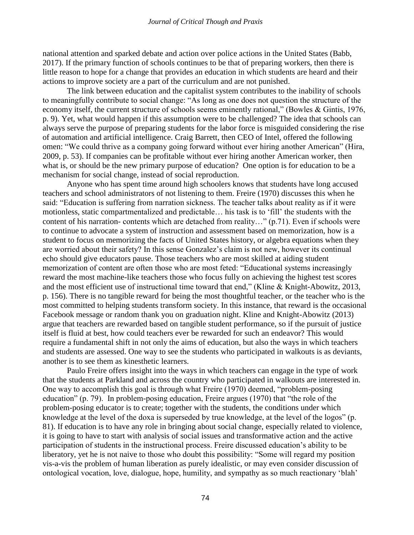national attention and sparked debate and action over police actions in the United States (Babb, 2017). If the primary function of schools continues to be that of preparing workers, then there is little reason to hope for a change that provides an education in which students are heard and their actions to improve society are a part of the curriculum and are not punished.

The link between education and the capitalist system contributes to the inability of schools to meaningfully contribute to social change: "As long as one does not question the structure of the economy itself, the current structure of schools seems eminently rational," (Bowles & Gintis, 1976, p. 9). Yet, what would happen if this assumption were to be challenged? The idea that schools can always serve the purpose of preparing students for the labor force is misguided considering the rise of automation and artificial intelligence. Craig Barrett, then CEO of Intel, offered the following omen: "We could thrive as a company going forward without ever hiring another American" (Hira, 2009, p. 53). If companies can be profitable without ever hiring another American worker, then what is, or should be the new primary purpose of education? One option is for education to be a mechanism for social change, instead of social reproduction.

Anyone who has spent time around high schoolers knows that students have long accused teachers and school administrators of not listening to them. Freire (1970) discusses this when he said: "Education is suffering from narration sickness. The teacher talks about reality as if it were motionless, static compartmentalized and predictable… his task is to 'fill' the students with the content of his narration- contents which are detached from reality…" (p.71). Even if schools were to continue to advocate a system of instruction and assessment based on memorization, how is a student to focus on memorizing the facts of United States history, or algebra equations when they are worried about their safety? In this sense Gonzalez's claim is not new, however its continual echo should give educators pause. Those teachers who are most skilled at aiding student memorization of content are often those who are most feted: "Educational systems increasingly reward the most machine-like teachers those who focus fully on achieving the highest test scores and the most efficient use of instructional time toward that end," (Kline & Knight-Abowitz, 2013, p. 156). There is no tangible reward for being the most thoughtful teacher, or the teacher who is the most committed to helping students transform society. In this instance, that reward is the occasional Facebook message or random thank you on graduation night. Kline and Knight-Abowitz (2013) argue that teachers are rewarded based on tangible student performance, so if the pursuit of justice itself is fluid at best, how could teachers ever be rewarded for such an endeavor? This would require a fundamental shift in not only the aims of education, but also the ways in which teachers and students are assessed. One way to see the students who participated in walkouts is as deviants, another is to see them as kinesthetic learners.

Paulo Freire offers insight into the ways in which teachers can engage in the type of work that the students at Parkland and across the country who participated in walkouts are interested in. One way to accomplish this goal is through what Freire (1970) deemed, "problem-posing education" (p. 79). In problem-posing education, Freire argues (1970) that "the role of the problem-posing educator is to create; together with the students, the conditions under which knowledge at the level of the doxa is superseded by true knowledge, at the level of the logos" (p. 81). If education is to have any role in bringing about social change, especially related to violence, it is going to have to start with analysis of social issues and transformative action and the active participation of students in the instructional process. Freire discussed education's ability to be liberatory, yet he is not naive to those who doubt this possibility: "Some will regard my position vis-a-vis the problem of human liberation as purely idealistic, or may even consider discussion of ontological vocation, love, dialogue, hope, humility, and sympathy as so much reactionary 'blah'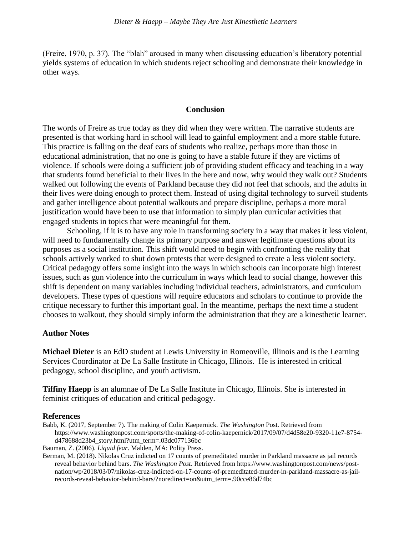(Freire, 1970, p. 37). The "blah" aroused in many when discussing education's liberatory potential yields systems of education in which students reject schooling and demonstrate their knowledge in other ways.

#### **Conclusion**

The words of Freire as true today as they did when they were written. The narrative students are presented is that working hard in school will lead to gainful employment and a more stable future. This practice is falling on the deaf ears of students who realize, perhaps more than those in educational administration, that no one is going to have a stable future if they are victims of violence. If schools were doing a sufficient job of providing student efficacy and teaching in a way that students found beneficial to their lives in the here and now, why would they walk out? Students walked out following the events of Parkland because they did not feel that schools, and the adults in their lives were doing enough to protect them. Instead of using digital technology to surveil students and gather intelligence about potential walkouts and prepare discipline, perhaps a more moral justification would have been to use that information to simply plan curricular activities that engaged students in topics that were meaningful for them.

Schooling, if it is to have any role in transforming society in a way that makes it less violent, will need to fundamentally change its primary purpose and answer legitimate questions about its purposes as a social institution. This shift would need to begin with confronting the reality that schools actively worked to shut down protests that were designed to create a less violent society. Critical pedagogy offers some insight into the ways in which schools can incorporate high interest issues, such as gun violence into the curriculum in ways which lead to social change, however this shift is dependent on many variables including individual teachers, administrators, and curriculum developers. These types of questions will require educators and scholars to continue to provide the critique necessary to further this important goal. In the meantime, perhaps the next time a student chooses to walkout, they should simply inform the administration that they are a kinesthetic learner.

#### **Author Notes**

**Michael Dieter** is an EdD student at Lewis University in Romeoville, Illinois and is the Learning Services Coordinator at De La Salle Institute in Chicago, Illinois. He is interested in critical pedagogy, school discipline, and youth activism.

**Tiffiny Haepp** is an alumnae of De La Salle Institute in Chicago, Illinois. She is interested in feminist critiques of education and critical pedagogy.

#### **References**

Babb, K. (2017, September 7). The making of Colin Kaepernick. *The Washington* Post. Retrieved from https://www.washingtonpost.com/sports/the-making-of-colin-kaepernick/2017/09/07/d4d58e20-9320-11e7-8754 d478688d23b4\_story.html?utm\_term=.03dc077136bc

Bauman, Z. (2006). *Liquid fear*. Malden, MA: Polity Press.

Berman, M. (2018). Nikolas Cruz indicted on 17 counts of premeditated murder in Parkland massacre as jail records reveal behavior behind bars. *The Washington Post*. Retrieved from https://www.washingtonpost.com/news/postnation/wp/2018/03/07/nikolas-cruz-indicted-on-17-counts-of-premeditated-murder-in-parkland-massacre-as-jailrecords-reveal-behavior-behind-bars/?noredirect=on&utm\_term=.90cce86d74bc